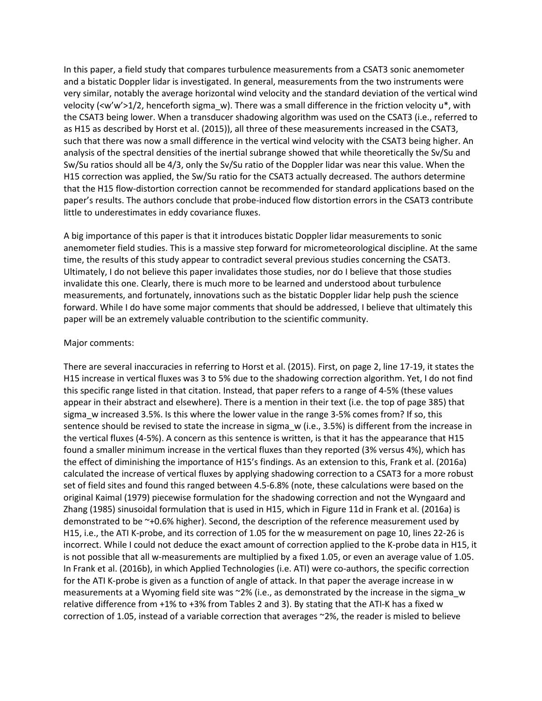In this paper, a field study that compares turbulence measurements from a CSAT3 sonic anemometer and a bistatic Doppler lidar is investigated. In general, measurements from the two instruments were very similar, notably the average horizontal wind velocity and the standard deviation of the vertical wind velocity ( $\langle w'w' \rangle$ 1/2, henceforth sigma w). There was a small difference in the friction velocity u\*, with the CSAT3 being lower. When a transducer shadowing algorithm was used on the CSAT3 (i.e., referred to as H15 as described by [Horst et al. \(2015\)](#page-3-0)), all three of these measurements increased in the CSAT3, such that there was now a small difference in the vertical wind velocity with the CSAT3 being higher. An analysis of the spectral densities of the inertial subrange showed that while theoretically the Sv/Su and Sw/Su ratios should all be 4/3, only the Sv/Su ratio of the Doppler lidar was near this value. When the H15 correction was applied, the Sw/Su ratio for the CSAT3 actually decreased. The authors determine that the H15 flow-distortion correction cannot be recommended for standard applications based on the paper's results. The authors conclude that probe-induced flow distortion errors in the CSAT3 contribute little to underestimates in eddy covariance fluxes.

A big importance of this paper is that it introduces bistatic Doppler lidar measurements to sonic anemometer field studies. This is a massive step forward for micrometeorological discipline. At the same time, the results of this study appear to contradict several previous studies concerning the CSAT3. Ultimately, I do not believe this paper invalidates those studies, nor do I believe that those studies invalidate this one. Clearly, there is much more to be learned and understood about turbulence measurements, and fortunately, innovations such as the bistatic Doppler lidar help push the science forward. While I do have some major comments that should be addressed, I believe that ultimately this paper will be an extremely valuable contribution to the scientific community.

## Major comments:

There are several inaccuracies in referring t[o Horst et al. \(2015\)](#page-3-0). First, on page 2, line 17-19, it states the H15 increase in vertical fluxes was 3 to 5% due to the shadowing correction algorithm. Yet, I do not find this specific range listed in that citation. Instead, that paper refers to a range of 4-5% (these values appear in their abstract and elsewhere). There is a mention in their text (i.e. the top of page 385) that sigma w increased 3.5%. Is this where the lower value in the range 3-5% comes from? If so, this sentence should be revised to state the increase in sigma  $w$  (i.e., 3.5%) is different from the increase in the vertical fluxes (4-5%). A concern as this sentence is written, is that it has the appearance that H15 found a smaller minimum increase in the vertical fluxes than they reported (3% versus 4%), which has the effect of diminishing the importance of H15's findings. As an extension to this, [Frank et al. \(2016a\)](#page-2-0) calculated the increase of vertical fluxes by applying shadowing correction to a CSAT3 for a more robust set of field sites and found this ranged between 4.5-6.8% (note, these calculations were based on the original [Kaimal \(1979\)](#page-3-1) piecewise formulation for the shadowing correction and not the [Wyngaard and](#page-3-2)  [Zhang \(1985\)](#page-3-2) sinusoidal formulation that is used in H15, which in Figure 11d in [Frank et al. \(2016a\)](#page-2-0) is demonstrated to be ~+0.6% higher). Second, the description of the reference measurement used by H15, i.e., the ATI K-probe, and its correction of 1.05 for the w measurement on page 10, lines 22-26 is incorrect. While I could not deduce the exact amount of correction applied to the K-probe data in H15, it is not possible that all w-measurements are multiplied by a fixed 1.05, or even an average value of 1.05. In [Frank et al. \(2016b\)](#page-3-3), in which Applied Technologies (i.e. ATI) were co-authors, the specific correction for the ATI K-probe is given as a function of angle of attack. In that paper the average increase in w measurements at a Wyoming field site was  $2\%$  (i.e., as demonstrated by the increase in the sigma w relative difference from +1% to +3% from Tables 2 and 3). By stating that the ATI-K has a fixed w correction of 1.05, instead of a variable correction that averages ~2%, the reader is misled to believe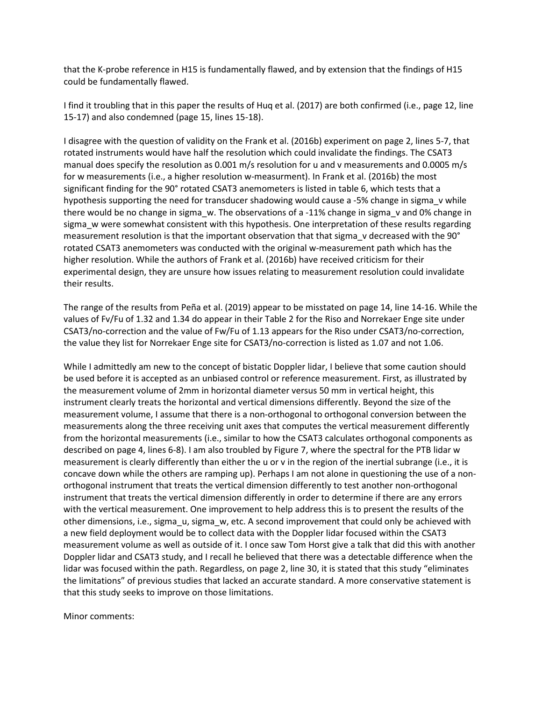that the K-probe reference in H15 is fundamentally flawed, and by extension that the findings of H15 could be fundamentally flawed.

I find it troubling that in this paper the results of [Huq et al. \(2017\)](#page-3-4) are both confirmed (i.e., page 12, line 15-17) and also condemned (page 15, lines 15-18).

I disagree with the question of validity on the [Frank et al. \(2016b\)](#page-3-3) experiment on page 2, lines 5-7, that rotated instruments would have half the resolution which could invalidate the findings. The CSAT3 manual does specify the resolution as 0.001 m/s resolution for u and v measurements and 0.0005 m/s for w measurements (i.e., a higher resolution w-measurment). In [Frank et al. \(2016b\)](#page-3-3) the most significant finding for the 90° rotated CSAT3 anemometers is listed in table 6, which tests that a hypothesis supporting the need for transducer shadowing would cause a -5% change in sigma v while there would be no change in sigma w. The observations of a -11% change in sigma v and 0% change in sigma w were somewhat consistent with this hypothesis. One interpretation of these results regarding measurement resolution is that the important observation that that sigma v decreased with the 90° rotated CSAT3 anemometers was conducted with the original w-measurement path which has the higher resolution. While the authors of [Frank et al. \(2016b\)](#page-3-3) have received criticism for their experimental design, they are unsure how issues relating to measurement resolution could invalidate their results.

The range of the results from [Peña et al. \(2019\)](#page-3-5) appear to be misstated on page 14, line 14-16. While the values of Fv/Fu of 1.32 and 1.34 do appear in their Table 2 for the Riso and Norrekaer Enge site under CSAT3/no-correction and the value of Fw/Fu of 1.13 appears for the Riso under CSAT3/no-correction, the value they list for Norrekaer Enge site for CSAT3/no-correction is listed as 1.07 and not 1.06.

While I admittedly am new to the concept of bistatic Doppler lidar, I believe that some caution should be used before it is accepted as an unbiased control or reference measurement. First, as illustrated by the measurement volume of 2mm in horizontal diameter versus 50 mm in vertical height, this instrument clearly treats the horizontal and vertical dimensions differently. Beyond the size of the measurement volume, I assume that there is a non-orthogonal to orthogonal conversion between the measurements along the three receiving unit axes that computes the vertical measurement differently from the horizontal measurements (i.e., similar to how the CSAT3 calculates orthogonal components as described on page 4, lines 6-8). I am also troubled by Figure 7, where the spectral for the PTB lidar w measurement is clearly differently than either the u or v in the region of the inertial subrange (i.e., it is concave down while the others are ramping up). Perhaps I am not alone in questioning the use of a nonorthogonal instrument that treats the vertical dimension differently to test another non-orthogonal instrument that treats the vertical dimension differently in order to determine if there are any errors with the vertical measurement. One improvement to help address this is to present the results of the other dimensions, i.e., sigma\_u, sigma\_w, etc. A second improvement that could only be achieved with a new field deployment would be to collect data with the Doppler lidar focused within the CSAT3 measurement volume as well as outside of it. I once saw Tom Horst give a talk that did this with another Doppler lidar and CSAT3 study, and I recall he believed that there was a detectable difference when the lidar was focused within the path. Regardless, on page 2, line 30, it is stated that this study "eliminates the limitations" of previous studies that lacked an accurate standard. A more conservative statement is that this study seeks to improve on those limitations.

Minor comments: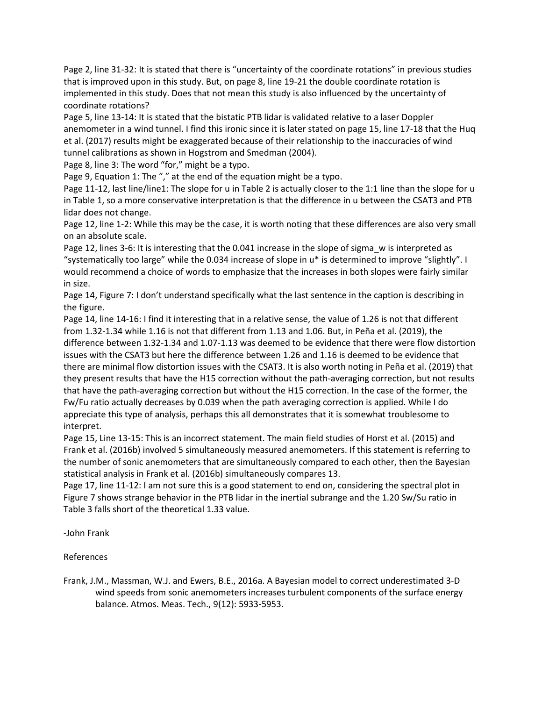Page 2, line 31-32: It is stated that there is "uncertainty of the coordinate rotations" in previous studies that is improved upon in this study. But, on page 8, line 19-21 the double coordinate rotation is implemented in this study. Does that not mean this study is also influenced by the uncertainty of coordinate rotations?

Page 5, line 13-14: It is stated that the bistatic PTB lidar is validated relative to a laser Doppler anemometer in a wind tunnel. I find this ironic since it is later stated on page 15, line 17-18 that the [Huq](#page-3-4)  [et al. \(2017\)](#page-3-4) results might be exaggerated because of their relationship to the inaccuracies of wind tunnel calibrations as shown in [Hogstrom and Smedman \(2004\)](#page-3-6).

Page 8, line 3: The word "for," might be a typo.

Page 9, Equation 1: The "," at the end of the equation might be a typo.

Page 11-12, last line/line1: The slope for u in Table 2 is actually closer to the 1:1 line than the slope for u in Table 1, so a more conservative interpretation is that the difference in u between the CSAT3 and PTB lidar does not change.

Page 12, line 1-2: While this may be the case, it is worth noting that these differences are also very small on an absolute scale.

Page 12, lines 3-6: It is interesting that the 0.041 increase in the slope of sigma\_w is interpreted as "systematically too large" while the 0.034 increase of slope in u\* is determined to improve "slightly". I would recommend a choice of words to emphasize that the increases in both slopes were fairly similar in size.

Page 14, Figure 7: I don't understand specifically what the last sentence in the caption is describing in the figure.

Page 14, line 14-16: I find it interesting that in a relative sense, the value of 1.26 is not that different from 1.32-1.34 while 1.16 is not that different from 1.13 and 1.06. But, in [Peña et al. \(2019\)](#page-3-5), the difference between 1.32-1.34 and 1.07-1.13 was deemed to be evidence that there were flow distortion issues with the CSAT3 but here the difference between 1.26 and 1.16 is deemed to be evidence that there are minimal flow distortion issues with the CSAT3. It is also worth noting in [Peña et al. \(2019\)](#page-3-5) that they present results that have the H15 correction without the path-averaging correction, but not results that have the path-averaging correction but without the H15 correction. In the case of the former, the Fw/Fu ratio actually decreases by 0.039 when the path averaging correction is applied. While I do appreciate this type of analysis, perhaps this all demonstrates that it is somewhat troublesome to interpret.

Page 15, Line 13-15: This is an incorrect statement. The main field studies of [Horst et al. \(2015\)](#page-3-0) and [Frank et al. \(2016b\)](#page-3-3) involved 5 simultaneously measured anemometers. If this statement is referring to the number of sonic anemometers that are simultaneously compared to each other, then the Bayesian statistical analysis in [Frank et al. \(2016b\)](#page-3-3) simultaneously compares 13.

Page 17, line 11-12: I am not sure this is a good statement to end on, considering the spectral plot in Figure 7 shows strange behavior in the PTB lidar in the inertial subrange and the 1.20 Sw/Su ratio in Table 3 falls short of the theoretical 1.33 value.

-John Frank

References

<span id="page-2-0"></span>Frank, J.M., Massman, W.J. and Ewers, B.E., 2016a. A Bayesian model to correct underestimated 3-D wind speeds from sonic anemometers increases turbulent components of the surface energy balance. Atmos. Meas. Tech., 9(12): 5933-5953.